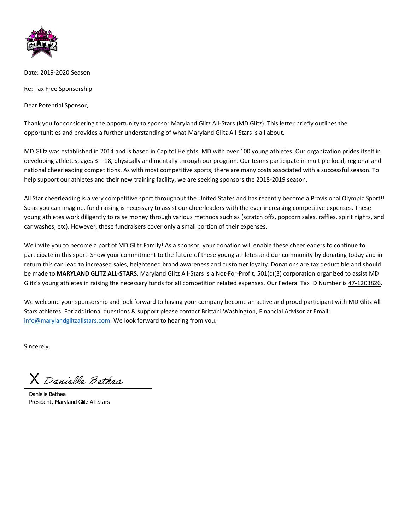

Date: 2019-2020 Season

Re: Tax Free Sponsorship

Dear Potential Sponsor,

Thank you for considering the opportunity to sponsor Maryland Glitz All-Stars (MD Glitz). This letter briefly outlines the opportunities and provides a further understanding of what Maryland Glitz All-Stars is all about.

MD Glitz was established in 2014 and is based in Capitol Heights, MD with over 100 young athletes. Our organization prides itself in developing athletes, ages 3 – 18, physically and mentally through our program. Our teams participate in multiple local, regional and national cheerleading competitions. As with most competitive sports, there are many costs associated with a successful season. To help support our athletes and their new training facility, we are seeking sponsors the 2018-2019 season.

All Star cheerleading is a very competitive sport throughout the United States and has recently become a Provisional Olympic Sport!! So as you can imagine, fund raising is necessary to assist our cheerleaders with the ever increasing competitive expenses. These young athletes work diligently to raise money through various methods such as (scratch offs, popcorn sales, raffles, spirit nights, and car washes, etc). However, these fundraisers cover only a small portion of their expenses.

We invite you to become a part of MD Glitz Family! As a sponsor, your donation will enable these cheerleaders to continue to participate in this sport. Show your commitment to the future of these young athletes and our community by donating today and in return this can lead to increased sales, heightened brand awareness and customer loyalty. Donations are tax deductible and should be made to **MARYLAND GLITZ ALL-STARS**. Maryland Glitz All-Stars is a Not-For-Profit, 501(c)(3) corporation organized to assist MD Glitz's young athletes in raising the necessary funds for all competition related expenses. Our Federal Tax ID Number is 47-1203826.

We welcome your sponsorship and look forward to having your company become an active and proud participant with MD Glitz All-Stars athletes. For additional questions & support please contact Brittani Washington, Financial Advisor at Email: [info@marylandglitzallstars.com.](mailto:info@marylandglitzallstars.com) We look forward to hearing from you.

Sincerely,

 $\lambda$  Danielle Bethea

Danielle Bethea President, Maryland Glitz All-Stars